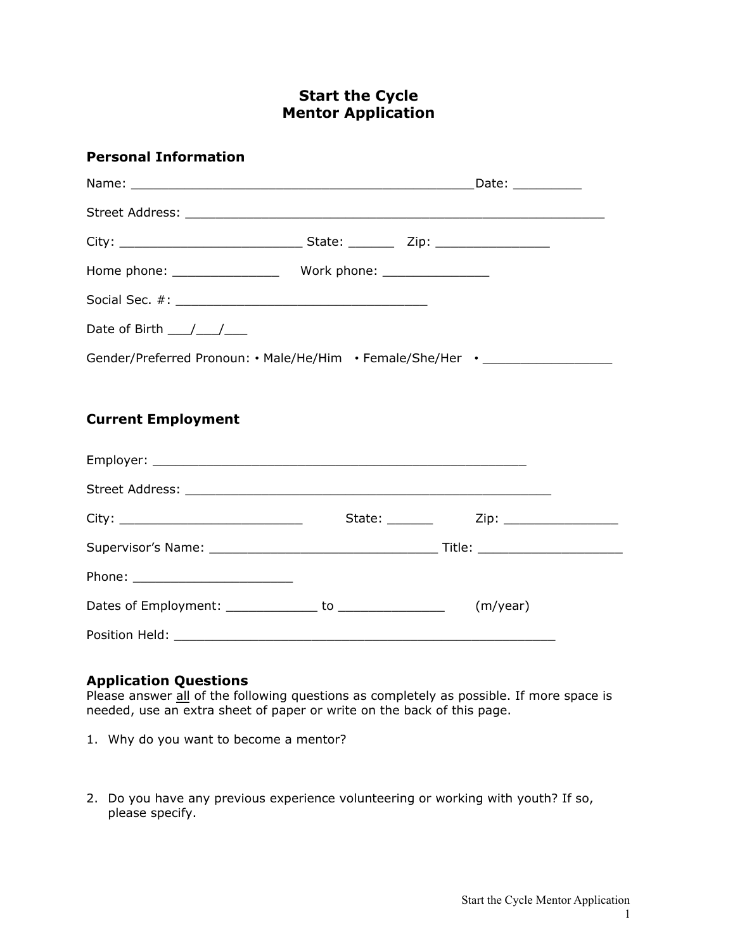# **Start the Cycle Mentor Application**

#### **Personal Information**

|                                                                                  | Date: __________ |
|----------------------------------------------------------------------------------|------------------|
|                                                                                  |                  |
|                                                                                  |                  |
|                                                                                  |                  |
|                                                                                  |                  |
| Date of Birth $\frac{1}{\sqrt{1-\frac{1}{2}}}$                                   |                  |
| Gender/Preferred Pronoun: • Male/He/Him • Female/She/Her • _____________________ |                  |

### **Current Employment**

|  | (m/year) |
|--|----------|
|  |          |

#### **Application Questions**

Please answer  $\frac{dI}{dE}$  of the following questions as completely as possible. If more space is needed, use an extra sheet of paper or write on the back of this page.

- 1. Why do you want to become a mentor?
- 2. Do you have any previous experience volunteering or working with youth? If so, please specify.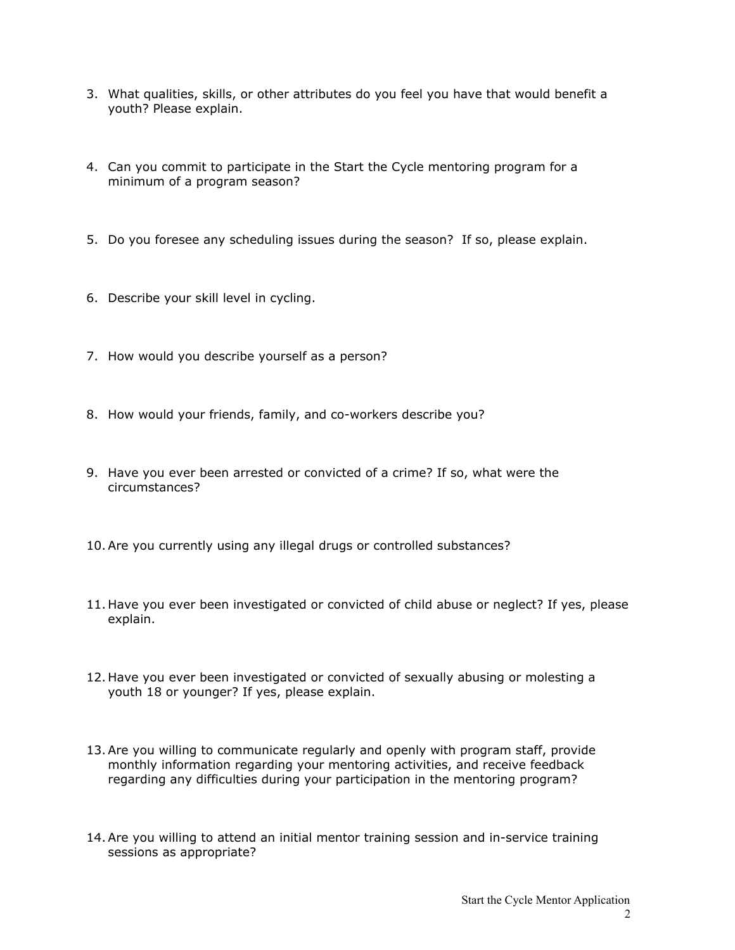- 3. What qualities, skills, or other attributes do you feel you have that would benefit a youth? Please explain.
- 4. Can you commit to participate in the Start the Cycle mentoring program for a minimum of a program season?
- 5. Do you foresee any scheduling issues during the season? If so, please explain.
- 6. Describe your skill level in cycling.
- 7. How would you describe yourself as a person?
- 8. How would your friends, family, and co-workers describe you?
- 9. Have you ever been arrested or convicted of a crime? If so, what were the circumstances?
- 10.Are you currently using any illegal drugs or controlled substances?
- 11. Have you ever been investigated or convicted of child abuse or neglect? If yes, please explain.
- 12. Have you ever been investigated or convicted of sexually abusing or molesting a youth 18 or younger? If yes, please explain.
- 13.Are you willing to communicate regularly and openly with program staff, provide monthly information regarding your mentoring activities, and receive feedback regarding any difficulties during your participation in the mentoring program?
- 14.Are you willing to attend an initial mentor training session and in-service training sessions as appropriate?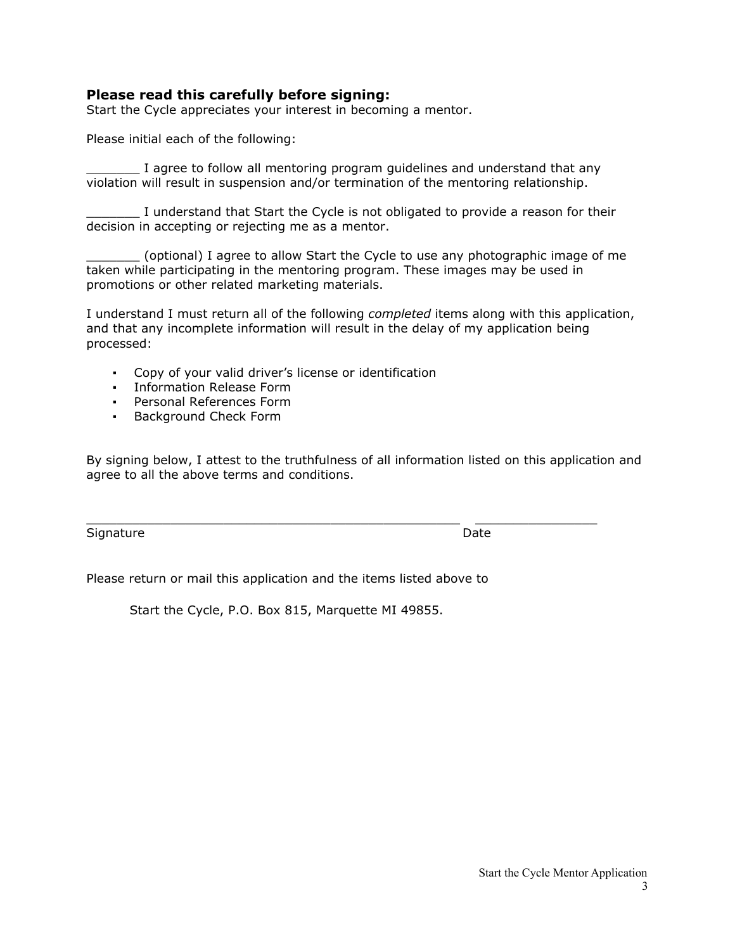#### **Please read this carefully before signing:**

Start the Cycle appreciates your interest in becoming a mentor.

Please initial each of the following:

\_\_\_\_\_\_\_ I agree to follow all mentoring program guidelines and understand that any violation will result in suspension and/or termination of the mentoring relationship.

\_\_\_\_\_\_\_ I understand that Start the Cycle is not obligated to provide a reason for their decision in accepting or rejecting me as a mentor.

\_\_\_\_\_\_\_ (optional) I agree to allow Start the Cycle to use any photographic image of me taken while participating in the mentoring program. These images may be used in promotions or other related marketing materials.

I understand I must return all of the following *completed* items along with this application, and that any incomplete information will result in the delay of my application being processed:

- Copy of your valid driver's license or identification
- Information Release Form
- Personal References Form
- Background Check Form

By signing below, I attest to the truthfulness of all information listed on this application and agree to all the above terms and conditions.

 $\_$  , and the set of the set of the set of the set of the set of the set of the set of the set of the set of the set of the set of the set of the set of the set of the set of the set of the set of the set of the set of th

Signature Date Date

Please return or mail this application and the items listed above to

Start the Cycle, P.O. Box 815, Marquette MI 49855.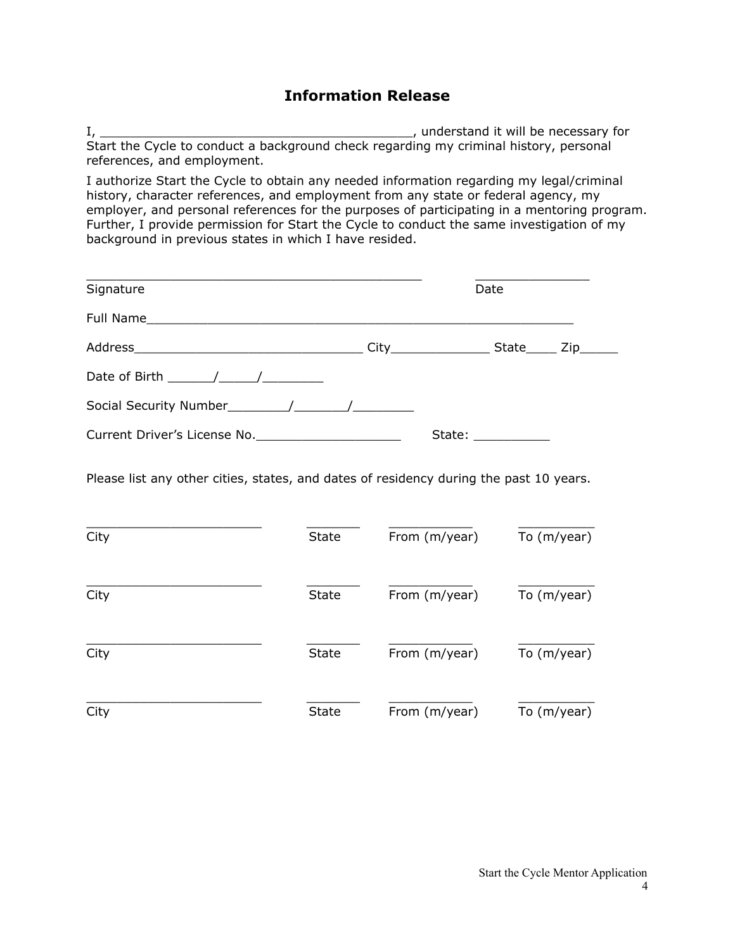## **Information Release**

I, \_\_\_\_\_\_\_\_\_\_\_\_\_\_\_\_\_\_\_\_\_\_\_\_\_\_\_\_\_\_\_\_\_\_\_\_\_\_\_\_\_, understand it will be necessary for Start the Cycle to conduct a background check regarding my criminal history, personal references, and employment.

I authorize Start the Cycle to obtain any needed information regarding my legal/criminal history, character references, and employment from any state or federal agency, my employer, and personal references for the purposes of participating in a mentoring program. Further, I provide permission for Start the Cycle to conduct the same investigation of my background in previous states in which I have resided.

| Signature                                                                                          |  | Date                |  |
|----------------------------------------------------------------------------------------------------|--|---------------------|--|
|                                                                                                    |  |                     |  |
|                                                                                                    |  |                     |  |
| Date of Birth $\frac{1}{\sqrt{1-\frac{1}{2}}}\left\vert \frac{1}{\sqrt{1-\frac{1}{2}}}\right\vert$ |  |                     |  |
|                                                                                                    |  |                     |  |
| Current Driver's License No.                                                                       |  | State: ____________ |  |

Please list any other cities, states, and dates of residency during the past 10 years.

| City | <b>State</b> | From (m/year) | To (m/year) |
|------|--------------|---------------|-------------|
| City | <b>State</b> | From (m/year) | To (m/year) |
| City | <b>State</b> | From (m/year) | To (m/year) |
| City | <b>State</b> | From (m/year) | To (m/year) |